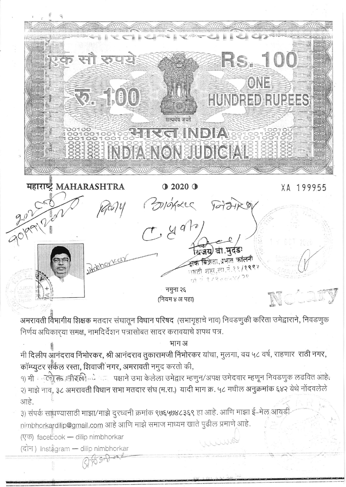

अमरावती विभागीय शिक्षक मतदार संघातून विधान परिषद (सभागृहाचे नाव) निवडणुकी करिता उमेद्वाराने, निवडणुक निर्णय अधिकारया समक्ष, नामदिर्देशन पत्रासोबत सादर करावयाचे शपथ पत्र.

भाग अ

मी दिलीप आनंदराव निंभोरकर, श्री आनंदराव तुकारामजी निंभोरकर यांचा, मुलगा, वय ५८ वर्ष, राहणार राठी नगर, कॉम्प्यूटर संकेल रस्ता, शिवाजी नगर, अमरावती नमुद करतो की,

१) मी कर्तु के अहिली के साथ पक्षाने उभा केलेला उमेद्वार म्हणुन/अपक्ष उमेदवार म्हणून निवडणुक लढवित आहे. २) माझे नाव, ३८ अमरावती विधान सभा मतदार संघ (म.रा.) यादी भाग क्र. ५८ मधील अनुक्रमांक ६४२ येथे नोंदवलेले आहे.

WWWR

३) संपर्क साधण्यासाठी माझा/माझे दुरध्वनी क्रमांक ९७६५७४८३६९ हा आहे. आणि माझा ई-मेल आयडी nimbhorkardilip@gmail.com आहे आणि माझे समाज माध्यम खाते पुढील प्रमाणे आहे.

(एक) facebook - dilip nimbhorkar

(दोन) Instagram — dilip nimbhorkar  $975522018$